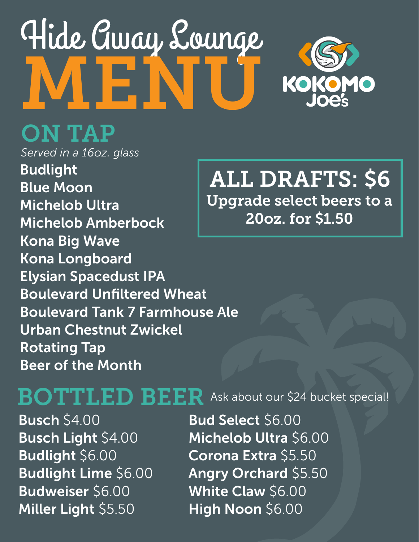# Hide Away Lounge MENU



### ON TAP

*Served in a 16oz. glass* Budlight Blue Moon Michelob Ultra Michelob Amberbock Kona Big Wave Kona Longboard Elysian Spacedust IPA Boulevard Unfiltered Wheat Boulevard Tank 7 Farmhouse Ale Urban Chestnut Zwickel Rotating Tap Beer of the Month

#### ALL DRAFTS: \$6 Upgrade select beers to a 20oz. for \$1.50

BOTTLED BEER Ask about our \$24 bucket special!

Busch \$4.00 Busch Light \$4.00 Budlight \$6.00 Budlight Lime \$6.00 Budweiser \$6.00 Miller Light \$5.50

Bud Select \$6.00 Michelob Ultra \$6.00 Corona Extra \$5.50 Angry Orchard \$5.50 White Claw \$6.00 High Noon \$6.00